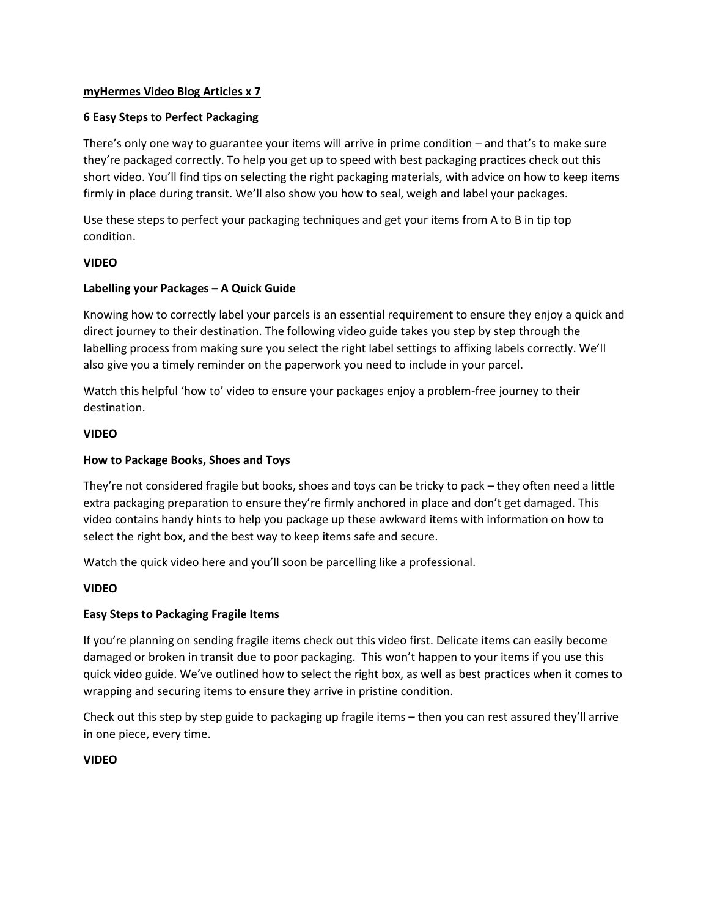# **myHermes Video Blog Articles x 7**

# **6 Easy Steps to Perfect Packaging**

There's only one way to guarantee your items will arrive in prime condition – and that's to make sure they're packaged correctly. To help you get up to speed with best packaging practices check out this short video. You'll find tips on selecting the right packaging materials, with advice on how to keep items firmly in place during transit. We'll also show you how to seal, weigh and label your packages.

Use these steps to perfect your packaging techniques and get your items from A to B in tip top condition.

### **VIDEO**

### **Labelling your Packages – A Quick Guide**

Knowing how to correctly label your parcels is an essential requirement to ensure they enjoy a quick and direct journey to their destination. The following video guide takes you step by step through the labelling process from making sure you select the right label settings to affixing labels correctly. We'll also give you a timely reminder on the paperwork you need to include in your parcel.

Watch this helpful 'how to' video to ensure your packages enjoy a problem-free journey to their destination.

### **VIDEO**

### **How to Package Books, Shoes and Toys**

They're not considered fragile but books, shoes and toys can be tricky to pack – they often need a little extra packaging preparation to ensure they're firmly anchored in place and don't get damaged. This video contains handy hints to help you package up these awkward items with information on how to select the right box, and the best way to keep items safe and secure.

Watch the quick video here and you'll soon be parcelling like a professional.

#### **VIDEO**

### **Easy Steps to Packaging Fragile Items**

If you're planning on sending fragile items check out this video first. Delicate items can easily become damaged or broken in transit due to poor packaging. This won't happen to your items if you use this quick video guide. We've outlined how to select the right box, as well as best practices when it comes to wrapping and securing items to ensure they arrive in pristine condition.

Check out this step by step guide to packaging up fragile items – then you can rest assured they'll arrive in one piece, every time.

#### **VIDEO**